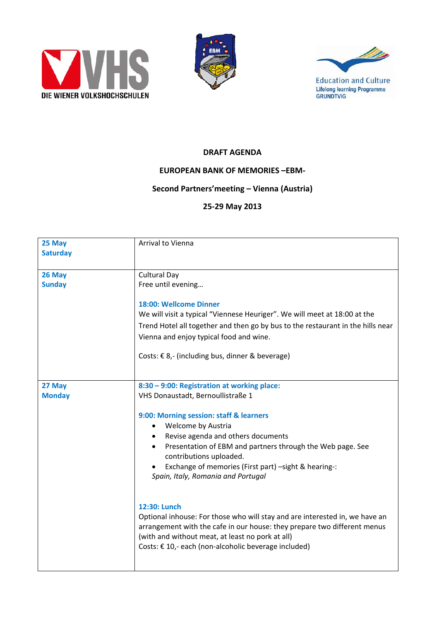





## **DRAFT AGENDA**

## **EUROPEAN BANK OF MEMORIES –EBM‐**

## **Second Partners'meeting – Vienna (Austria)**

## **25‐29 May 2013**

| 25 May<br><b>Saturday</b> | Arrival to Vienna                                                                                                                                                                                                                                                                                                                                                                                                                                                                                                                                                                                                                                                                  |
|---------------------------|------------------------------------------------------------------------------------------------------------------------------------------------------------------------------------------------------------------------------------------------------------------------------------------------------------------------------------------------------------------------------------------------------------------------------------------------------------------------------------------------------------------------------------------------------------------------------------------------------------------------------------------------------------------------------------|
| 26 May<br><b>Sunday</b>   | <b>Cultural Day</b><br>Free until evening<br>18:00: Wellcome Dinner<br>We will visit a typical "Viennese Heuriger". We will meet at 18:00 at the<br>Trend Hotel all together and then go by bus to the restaurant in the hills near<br>Vienna and enjoy typical food and wine.<br>Costs: € 8,- (including bus, dinner & beverage)                                                                                                                                                                                                                                                                                                                                                  |
| 27 May<br><b>Monday</b>   | 8:30 - 9:00: Registration at working place:<br>VHS Donaustadt, Bernoullistraße 1<br>9:00: Morning session: staff & learners<br>Welcome by Austria<br>$\bullet$<br>Revise agenda and others documents<br>Presentation of EBM and partners through the Web page. See<br>contributions uploaded.<br>Exchange of memories (First part) -sight & hearing-:<br>Spain, Italy, Romania and Portugal<br>12:30: Lunch<br>Optional inhouse: For those who will stay and are interested in, we have an<br>arrangement with the cafe in our house: they prepare two different menus<br>(with and without meat, at least no pork at all)<br>Costs: € 10,- each (non-alcoholic beverage included) |